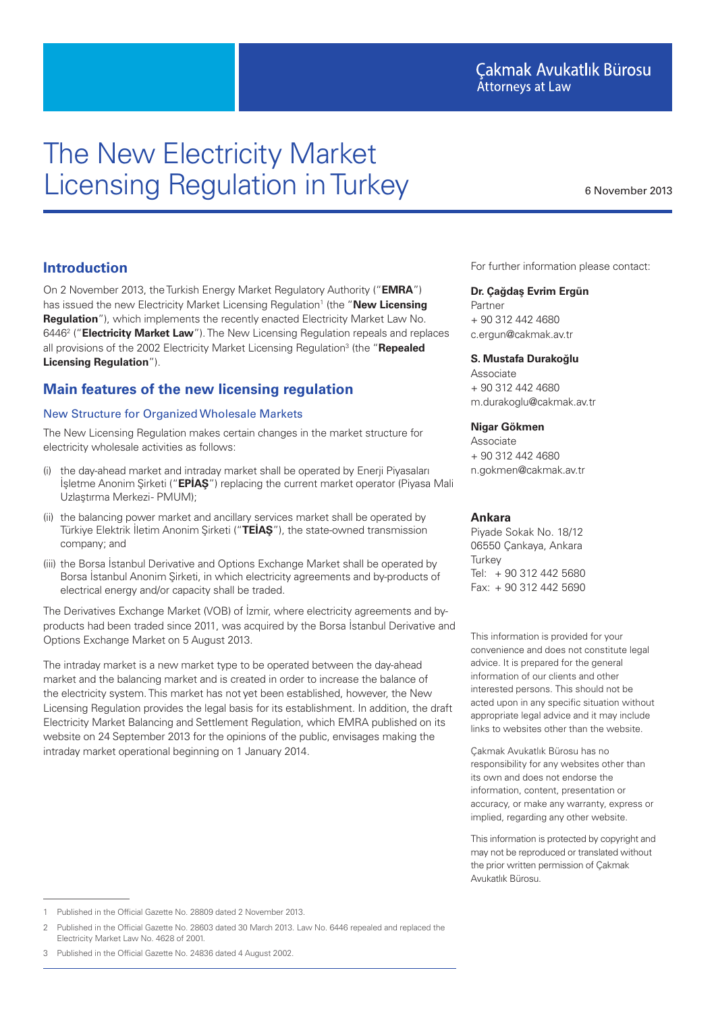# The New Electricity Market Licensing Regulation in Turkey

6 November 2013

# **Introduction**

On 2 November 2013, the Turkish Energy Market Regulatory Authority ("**EMRA**") has issued the new Electricity Market Licensing Regulation<sup>1</sup> (the "New Licensing **Regulation**"), which implements the recently enacted Electricity Market Law No. 6446<sup>2</sup> ("**Electricity Market Law**"). The New Licensing Regulation repeals and replaces all provisions of the 2002 Electricity Market Licensing Regulation<sup>3</sup> (the "Repealed **Licensing Regulation**").

# **Main features of the new licensing regulation**

## New Structure for Organized Wholesale Markets

The New Licensing Regulation makes certain changes in the market structure for electricity wholesale activities as follows:

- (i) the day-ahead market and intraday market shall be operated by Enerji Piyasaları İşletme Anonim Şirketi ("**EPİAŞ**") replacing the current market operator (Piyasa Mali Uzlaştırma Merkezi- PMUM);
- (ii) the balancing power market and ancillary services market shall be operated by Türkiye Elektrik İletim Anonim Şirketi ("**TEİAŞ**"), the state-owned transmission company; and
- (iii) the Borsa İstanbul Derivative and Options Exchange Market shall be operated by Borsa İstanbul Anonim Şirketi, in which electricity agreements and by-products of electrical energy and/or capacity shall be traded.

The Derivatives Exchange Market (VOB) of İzmir, where electricity agreements and byproducts had been traded since 2011, was acquired by the Borsa İstanbul Derivative and Options Exchange Market on 5 August 2013.

The intraday market is a new market type to be operated between the day-ahead market and the balancing market and is created in order to increase the balance of the electricity system. This market has not yet been established, however, the New Licensing Regulation provides the legal basis for its establishment. In addition, the draft Electricity Market Balancing and Settlement Regulation, which EMRA published on its website on 24 September 2013 for the opinions of the public, envisages making the intraday market operational beginning on 1 January 2014.

For further information please contact:

#### **Dr. Çağdaş Evrim Ergün**

Partner + 90 312 442 4680 c.ergun@cakmak.av.tr

#### **S. Mustafa Durakoğlu**

Associate + 90 312 442 4680 m.durakoglu@cakmak.av.tr

#### **Nigar Gökmen**

Associate + 90 312 442 4680 n.gokmen@cakmak.av.tr

#### **Ankara**

Piyade Sokak No. 18/12 06550 Çankaya, Ankara **Turkey** Tel: + 90 312 442 5680 Fax: + 90 312 442 5690

This information is provided for your convenience and does not constitute legal advice. It is prepared for the general information of our clients and other interested persons. This should not be acted upon in any specific situation without appropriate legal advice and it may include links to websites other than the website.

Çakmak Avukatlık Bürosu has no responsibility for any websites other than its own and does not endorse the information, content, presentation or accuracy, or make any warranty, express or implied, regarding any other website.

This information is protected by copyright and may not be reproduced or translated without the prior written permission of Çakmak Avukatlık Bürosu.

<sup>1</sup> Published in the Official Gazette No. 28809 dated 2 November 2013.

<sup>2</sup> Published in the Official Gazette No. 28603 dated 30 March 2013. Law No. 6446 repealed and replaced the Electricity Market Law No. 4628 of 2001.

<sup>3</sup> Published in the Official Gazette No. 24836 dated 4 August 2002.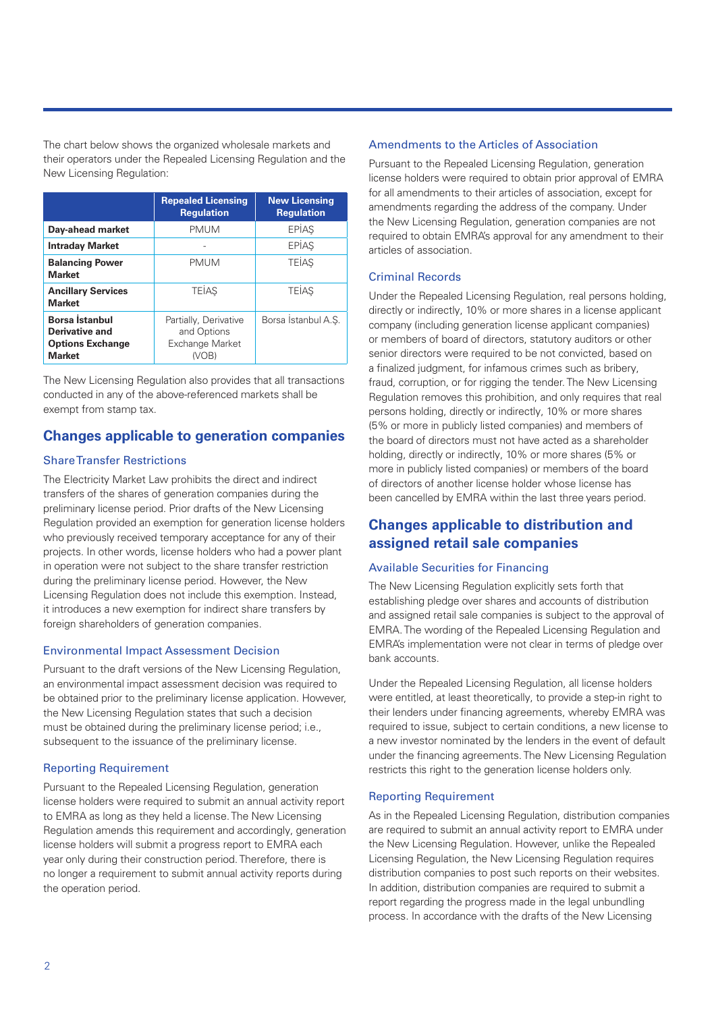The chart below shows the organized wholesale markets and their operators under the Repealed Licensing Regulation and the New Licensing Regulation:

|                                                                                     | <b>Repealed Licensing</b><br><b>Regulation</b>                   | <b>New Licensing</b><br><b>Regulation</b> |
|-------------------------------------------------------------------------------------|------------------------------------------------------------------|-------------------------------------------|
| Day-ahead market                                                                    | <b>PMUM</b>                                                      | EPİAŞ                                     |
| <b>Intraday Market</b>                                                              |                                                                  | EPIAS                                     |
| <b>Balancing Power</b><br><b>Market</b>                                             | <b>PMUM</b>                                                      | <b>TEIAS</b>                              |
| <b>Ancillary Services</b><br><b>Market</b>                                          | <b>TEIAS</b>                                                     | <b>TEIAS</b>                              |
| Borsa İstanbul<br><b>Derivative and</b><br><b>Options Exchange</b><br><b>Market</b> | Partially, Derivative<br>and Options<br>Exchange Market<br>(VOB) | Borsa Istanbul A.S.                       |

The New Licensing Regulation also provides that all transactions conducted in any of the above-referenced markets shall be exempt from stamp tax.

# **Changes applicable to generation companies**

# Share Transfer Restrictions

The Electricity Market Law prohibits the direct and indirect transfers of the shares of generation companies during the preliminary license period. Prior drafts of the New Licensing Regulation provided an exemption for generation license holders who previously received temporary acceptance for any of their projects. In other words, license holders who had a power plant in operation were not subject to the share transfer restriction during the preliminary license period. However, the New Licensing Regulation does not include this exemption. Instead, it introduces a new exemption for indirect share transfers by foreign shareholders of generation companies.

# Environmental Impact Assessment Decision

Pursuant to the draft versions of the New Licensing Regulation, an environmental impact assessment decision was required to be obtained prior to the preliminary license application. However, the New Licensing Regulation states that such a decision must be obtained during the preliminary license period; i.e., subsequent to the issuance of the preliminary license.

# Reporting Requirement

Pursuant to the Repealed Licensing Regulation, generation license holders were required to submit an annual activity report to EMRA as long as they held a license. The New Licensing Regulation amends this requirement and accordingly, generation license holders will submit a progress report to EMRA each year only during their construction period. Therefore, there is no longer a requirement to submit annual activity reports during the operation period.

## Amendments to the Articles of Association

Pursuant to the Repealed Licensing Regulation, generation license holders were required to obtain prior approval of EMRA for all amendments to their articles of association, except for amendments regarding the address of the company. Under the New Licensing Regulation, generation companies are not required to obtain EMRA's approval for any amendment to their articles of association.

## Criminal Records

Under the Repealed Licensing Regulation, real persons holding, directly or indirectly, 10% or more shares in a license applicant company (including generation license applicant companies) or members of board of directors, statutory auditors or other senior directors were required to be not convicted, based on a finalized judgment, for infamous crimes such as bribery, fraud, corruption, or for rigging the tender. The New Licensing Regulation removes this prohibition, and only requires that real persons holding, directly or indirectly, 10% or more shares (5% or more in publicly listed companies) and members of the board of directors must not have acted as a shareholder holding, directly or indirectly, 10% or more shares (5% or more in publicly listed companies) or members of the board of directors of another license holder whose license has been cancelled by EMRA within the last three years period.

# **Changes applicable to distribution and assigned retail sale companies**

# Available Securities for Financing

The New Licensing Regulation explicitly sets forth that establishing pledge over shares and accounts of distribution and assigned retail sale companies is subject to the approval of EMRA. The wording of the Repealed Licensing Regulation and EMRA's implementation were not clear in terms of pledge over bank accounts.

Under the Repealed Licensing Regulation, all license holders were entitled, at least theoretically, to provide a step-in right to their lenders under financing agreements, whereby EMRA was required to issue, subject to certain conditions, a new license to a new investor nominated by the lenders in the event of default under the financing agreements. The New Licensing Regulation restricts this right to the generation license holders only.

#### Reporting Requirement

As in the Repealed Licensing Regulation, distribution companies are required to submit an annual activity report to EMRA under the New Licensing Regulation. However, unlike the Repealed Licensing Regulation, the New Licensing Regulation requires distribution companies to post such reports on their websites. In addition, distribution companies are required to submit a report regarding the progress made in the legal unbundling process. In accordance with the drafts of the New Licensing